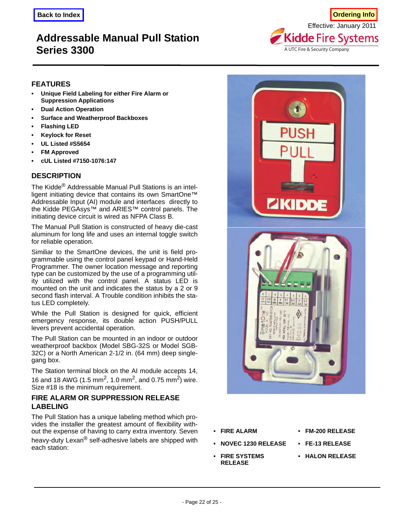# **Addressable Manual Pull Station Series 3300**



### **FEATURES**

- **Unique Field Labeling for either Fire Alarm or Suppression Applications**
- **Dual Action Operation**
- **Surface and Weatherproof Backboxes**
- **Flashing LED**
- **Keylock for Reset**
- **UL Listed #S5654**
- **FM Approved**
- **cUL Listed #7150-1076:147**

## **DESCRIPTION**

The Kidde® Addressable Manual Pull Stations is an intelligent initiating device that contains its own SmartOne™ Addressable Input (AI) module and interfaces directly to the Kidde PEGAsys™ and ARIES™ control panels. The initiating device circuit is wired as NFPA Class B.

The Manual Pull Station is constructed of heavy die-cast aluminum for long life and uses an internal toggle switch for reliable operation.

Similiar to the SmartOne devices, the unit is field programmable using the control panel keypad or Hand-Held Programmer. The owner location message and reporting type can be customized by the use of a programming utility utilized with the control panel. A status LED is mounted on the unit and indicates the status by a 2 or 9 second flash interval. A Trouble condition inhibits the status LED completely.

While the Pull Station is designed for quick, efficient emergency response, its double action PUSH/PULL levers prevent accidental operation.

The Pull Station can be mounted in an indoor or outdoor weatherproof backbox (Model SBG-32S or Model SGB-32C) or a North American 2-1/2 in. (64 mm) deep singlegang box.

The Station terminal block on the AI module accepts 14, 16 and 18 AWG (1.5 mm<sup>2</sup>, 1.0 mm<sup>2</sup>, and 0.75 mm<sup>2</sup>) wire. Size #18 is the minimum requirement.

### **FIRE ALARM OR SUPPRESSION RELEASE LABELING**

The Pull Station has a unique labeling method which provides the installer the greatest amount of flexibility without the expense of having to carry extra inventory. Seven heavy-duty Lexan® self-adhesive labels are shipped with each station:



- **NOVEC 1230 RELEASE FE-13 RELEASE**
- **FIRE SYSTEMS RELEASE**
- **FIRE ALARM FM-200 RELEASE**
	-
	- **HALON RELEASE**